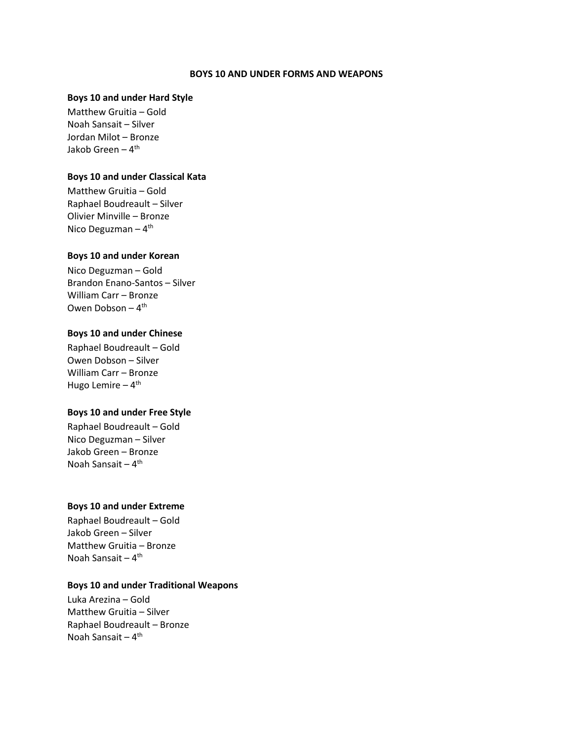#### **BOYS 10 AND UNDER FORMS AND WEAPONS**

### **Boys 10 and under Hard Style**

Matthew Gruitia – Gold Noah Sansait – Silver Jordan Milot – Bronze Jakob Green <mark>–</mark> 4<sup>th</sup>

### **Boys 10 and under Classical Kata**

Matthew Gruitia – Gold Raphael Boudreault – Silver Olivier Minville – Bronze Nico Deguzman – 4<sup>th</sup>

#### **Boys 10 and under Korean**

Nico Deguzman – Gold Brandon Enano-Santos – Silver William Carr – Bronze Owen Dobson – 4 th

# **Boys 10 and under Chinese**

Raphael Boudreault – Gold Owen Dobson – Silver William Carr – Bronze Hugo Lemire – 4<sup>th</sup>

## **Boys 10 and under Free Style**

Raphael Boudreault – Gold Nico Deguzman – Silver Jakob Green – Bronze Noah Sansait – 4<sup>th</sup>

# **Boys 10 and under Extreme**

Raphael Boudreault – Gold Jakob Green – Silver Matthew Gruitia – Bronze Noah Sansait – 4<sup>th</sup>

# **Boys 10 and under Traditional Weapons**

Luka Arezina – Gold Matthew Gruitia – Silver Raphael Boudreault – Bronze Noah Sansait – 4<sup>th</sup>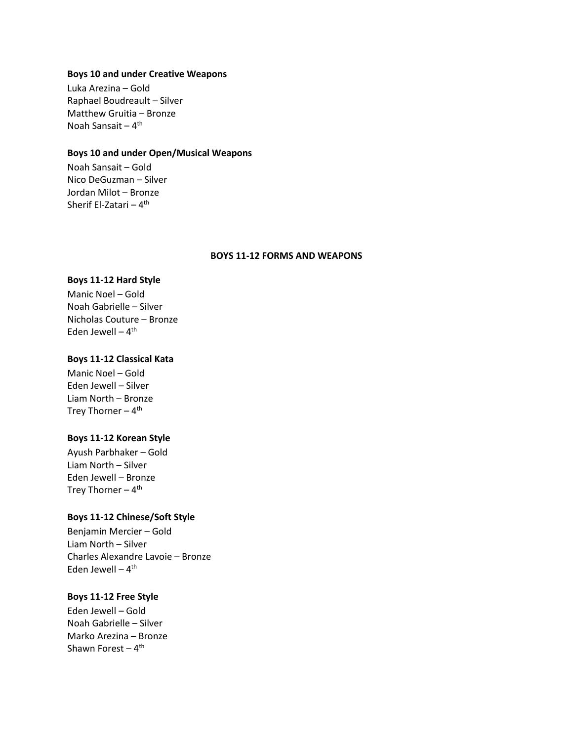### **Boys 10 and under Creative Weapons**

Luka Arezina – Gold Raphael Boudreault – Silver Matthew Gruitia – Bronze Noah Sansait – 4<sup>th</sup>

# **Boys 10 and under Open/Musical Weapons**

Noah Sansait – Gold Nico DeGuzman – Silver Jordan Milot – Bronze Sherif El-Zatari <mark>–</mark> 4<sup>th</sup>

#### **BOYS 11-12 FORMS AND WEAPONS**

# **Boys 11-12 Hard Style**

Manic Noel – Gold Noah Gabrielle – Silver Nicholas Couture – Bronze Eden Jewell – 4<sup>th</sup>

# **Boys 11-12 Classical Kata**

Manic Noel – Gold Eden Jewell – Silver Liam North – Bronze Trey Thorner – 4<sup>th</sup>

# **Boys 11-12 Korean Style**

Ayush Parbhaker – Gold Liam North – Silver Eden Jewell – Bronze Trey Thorner – 4<sup>th</sup>

# **Boys 11-12 Chinese/Soft Style**

Benjamin Mercier – Gold Liam North – Silver Charles Alexandre Lavoie – Bronze Eden Jewell – 4<sup>th</sup>

# **Boys 11-12 Free Style**

Eden Jewell – Gold Noah Gabrielle – Silver Marko Arezina – Bronze Shawn Forest – 4<sup>th</sup>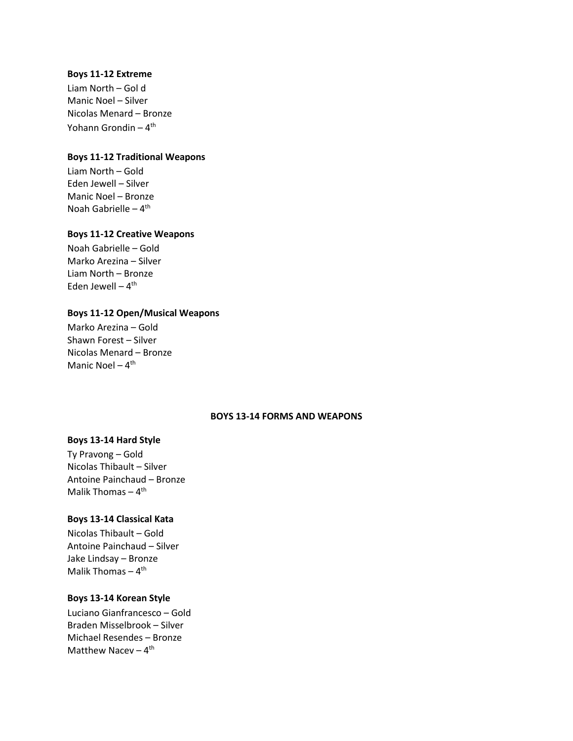### **Boys 11-12 Extreme**

Liam North – Gol d Manic Noel – Silver Nicolas Menard – Bronze Yohann Grondin <mark>–</mark> 4<sup>th</sup>

# **Boys 11-12 Traditional Weapons**

Liam North – Gold Eden Jewell – Silver Manic Noel – Bronze Noah Gabrielle – 4<sup>th</sup>

## **Boys 11-12 Creative Weapons**

Noah Gabrielle – Gold Marko Arezina – Silver Liam North – Bronze Eden Jewell – 4<sup>th</sup>

### **Boys 11-12 Open/Musical Weapons**

Marko Arezina – Gold Shawn Forest – Silver Nicolas Menard – Bronze Manic Noel – 4<sup>th</sup>

# **BOYS 13-14 FORMS AND WEAPONS**

# **Boys 13-14 Hard Style**

Ty Pravong – Gold Nicolas Thibault – Silver Antoine Painchaud – Bronze Malik Thomas – 4<sup>th</sup>

# **Boys 13-14 Classical Kata**

Nicolas Thibault – Gold Antoine Painchaud – Silver Jake Lindsay – Bronze Malik Thomas – 4<sup>th</sup>

# **Boys 13-14 Korean Style**

Luciano Gianfrancesco – Gold Braden Misselbrook – Silver Michael Resendes – Bronze Matthew Nacev - 4<sup>th</sup>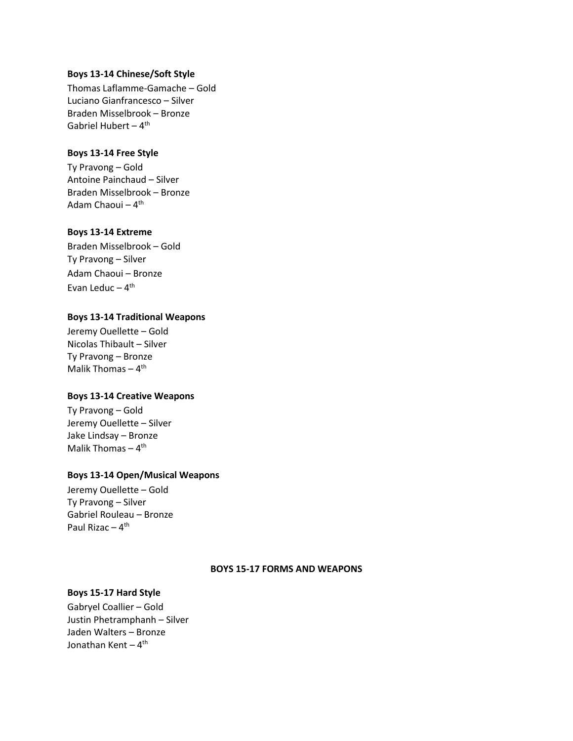### **Boys 13-14 Chinese/Soft Style**

Thomas Laflamme-Gamache – Gold Luciano Gianfrancesco – Silver Braden Misselbrook – Bronze Gabriel Hubert – 4<sup>th</sup>

# **Boys 13-14 Free Style**

Ty Pravong – Gold Antoine Painchaud – Silver Braden Misselbrook – Bronze Adam Chaoui <mark>–</mark> 4<sup>th</sup>

# **Boys 13-14 Extreme**

Braden Misselbrook – Gold Ty Pravong – Silver Adam Chaoui – Bronze Evan Leduc – 4<sup>th</sup>

# **Boys 13-14 Traditional Weapons**

Jeremy Ouellette – Gold Nicolas Thibault – Silver Ty Pravong – Bronze Malik Thomas – 4<sup>th</sup>

# **Boys 13-14 Creative Weapons**

Ty Pravong – Gold Jeremy Ouellette – Silver Jake Lindsay – Bronze Malik Thomas – 4<sup>th</sup>

# **Boys 13-14 Open/Musical Weapons**

Jeremy Ouellette – Gold Ty Pravong – Silver Gabriel Rouleau – Bronze Paul Rizac – 4<sup>th</sup>

### **BOYS 15-17 FORMS AND WEAPONS**

# **Boys 15-17 Hard Style**

Gabryel Coallier – Gold Justin Phetramphanh – Silver Jaden Walters – Bronze Jonathan Kent – 4<sup>th</sup>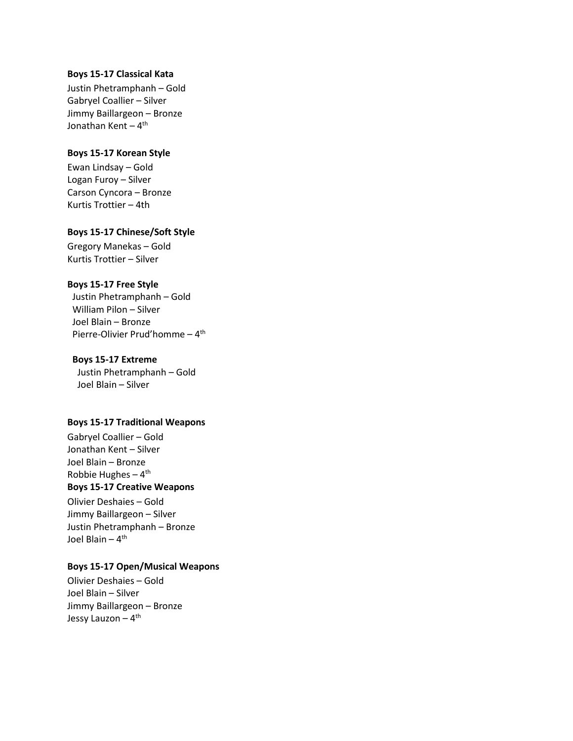### **Boys 15-17 Classical Kata**

Justin Phetramphanh – Gold Gabryel Coallier – Silver Jimmy Baillargeon – Bronze Jonathan Kent – 4<sup>th</sup>

#### **Boys 15-17 Korean Style**

Ewan Lindsay – Gold Logan Furoy – Silver Carson Cyncora – Bronze Kurtis Trottier – 4th

## **Boys 15-17 Chinese/Soft Style**

Gregory Manekas – Gold Kurtis Trottier – Silver

# **Boys 15-17 Free Style**

Justin Phetramphanh – Gold William Pilon – Silver Joel Blain – Bronze Pierre-Olivier Prud'homme - 4<sup>th</sup>

#### **Boys 15-17 Extreme**

Justin Phetramphanh – Gold Joel Blain – Silver

### **Boys 15-17 Traditional Weapons**

Gabryel Coallier – Gold Jonathan Kent – Silver Joel Blain – Bronze Robbie Hughes – 4<sup>th</sup>

# **Boys 15-17 Creative Weapons**

Olivier Deshaies – Gold Jimmy Baillargeon – Silver Justin Phetramphanh – Bronze Joel Blain – 4<sup>th</sup>

# **Boys 15-17 Open/Musical Weapons**

Olivier Deshaies – Gold Joel Blain – Silver Jimmy Baillargeon – Bronze Jessy Lauzon – 4<sup>th</sup>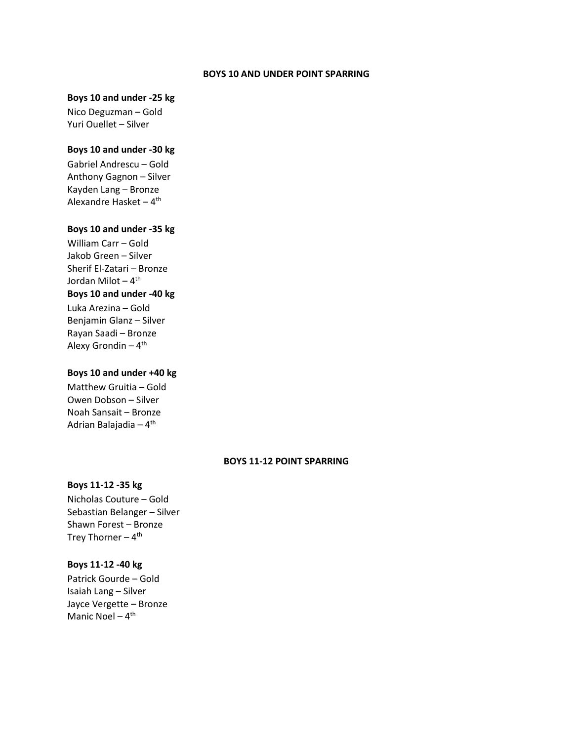#### **BOYS 10 AND UNDER POINT SPARRING**

### **Boys 10 and under -25 kg**

Nico Deguzman – Gold Yuri Ouellet – Silver

# **Boys 10 and under -30 kg**

Gabriel Andrescu – Gold Anthony Gagnon – Silver Kayden Lang – Bronze Alexandre Hasket – 4<sup>th</sup>

# **Boys 10 and under -35 kg**

William Carr – Gold Jakob Green – Silver Sherif El-Zatari – Bronze Jordan Milot – 4<sup>th</sup> **Boys 10 and under -40 kg**  Luka Arezina – Gold

Benjamin Glanz – Silver Rayan Saadi – Bronze Alexy Grondin – 4<sup>th</sup>

# **Boys 10 and under +40 kg**

Matthew Gruitia – Gold Owen Dobson – Silver Noah Sansait – Bronze Adrian Balajadia – 4<sup>th</sup>

# **BOYS 11-12 POINT SPARRING**

#### **Boys 11-12 -35 kg**

Nicholas Couture – Gold Sebastian Belanger – Silver Shawn Forest – Bronze Trey Thorner – 4<sup>th</sup>

# **Boys 11-12 -40 kg**

Patrick Gourde – Gold Isaiah Lang – Silver Jayce Vergette – Bronze Manic Noel - 4<sup>th</sup>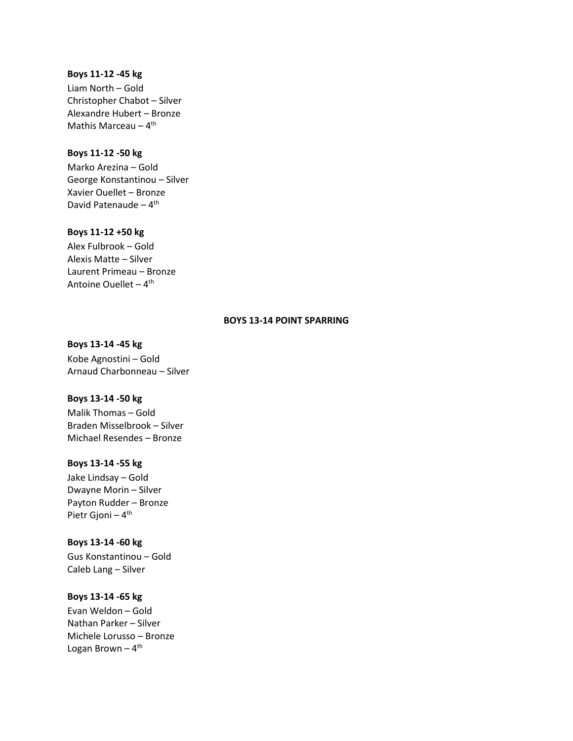### **Boys 11-12 -45 kg**

Liam North – Gold Christopher Chabot – Silver Alexandre Hubert – Bronze Mathis Marceau – 4<sup>th</sup>

# **Boys 11-12 -50 kg**

Marko Arezina – Gold George Konstantinou – Silver Xavier Ouellet – Bronze David Patenaude – 4<sup>th</sup>

# **Boys 11-12 +50 kg**

Alex Fulbrook – Gold Alexis Matte – Silver Laurent Primeau – Bronze Antoine Ouellet – 4<sup>th</sup>

# **BOYS 13-14 POINT SPARRING**

**Boys 13-14 -45 kg** Kobe Agnostini – Gold Arnaud Charbonneau – Silver

### **Boys 13-14 -50 kg**

Malik Thomas – Gold Braden Misselbrook – Silver Michael Resendes – Bronze

# **Boys 13-14 -55 kg**

Jake Lindsay – Gold Dwayne Morin – Silver Payton Rudder – Bronze Pietr Gjoni – 4<sup>th</sup>

# **Boys 13-14 -60 kg**

Gus Konstantinou – Gold Caleb Lang – Silver

# **Boys 13-14 -65 kg**

Evan Weldon – Gold Nathan Parker – Silver Michele Lorusso – Bronze Logan Brown – 4<sup>th</sup>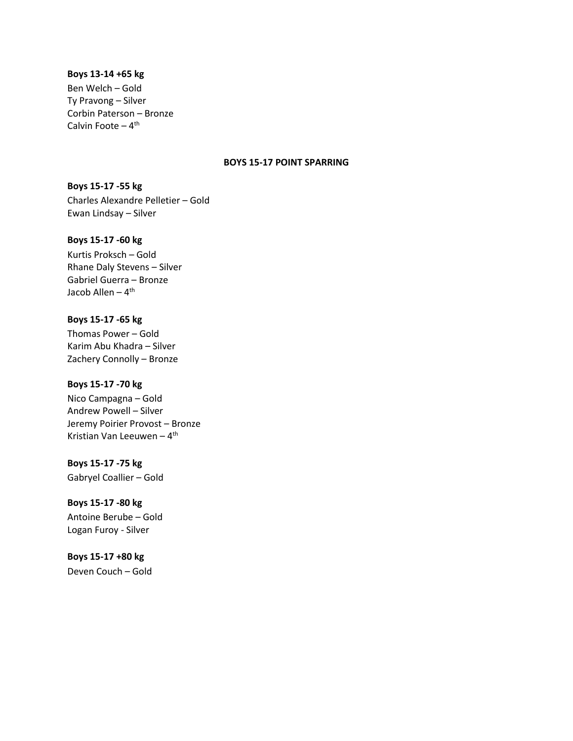### **Boys 13-14 +65 kg**

Ben Welch – Gold Ty Pravong – Silver Corbin Paterson – Bronze Calvin Foote – 4<sup>th</sup>

## **BOYS 15-17 POINT SPARRING**

**Boys 15-17 -55 kg**  Charles Alexandre Pelletier – Gold Ewan Lindsay – Silver

#### **Boys 15-17 -60 kg**

Kurtis Proksch – Gold Rhane Daly Stevens – Silver Gabriel Guerra – Bronze Jacob Allen <mark>–</mark> 4<sup>th</sup>

# **Boys 15-17 -65 kg**

Thomas Power – Gold Karim Abu Khadra – Silver Zachery Connolly – Bronze

### **Boys 15-17 -70 kg**

Nico Campagna – Gold Andrew Powell – Silver Jeremy Poirier Provost – Bronze Kristian Van Leeuwen – 4<sup>th</sup>

**Boys 15-17 -75 kg**  Gabryel Coallier – Gold

**Boys 15-17 -80 kg**  Antoine Berube – Gold Logan Furoy - Silver

**Boys 15-17 +80 kg**  Deven Couch – Gold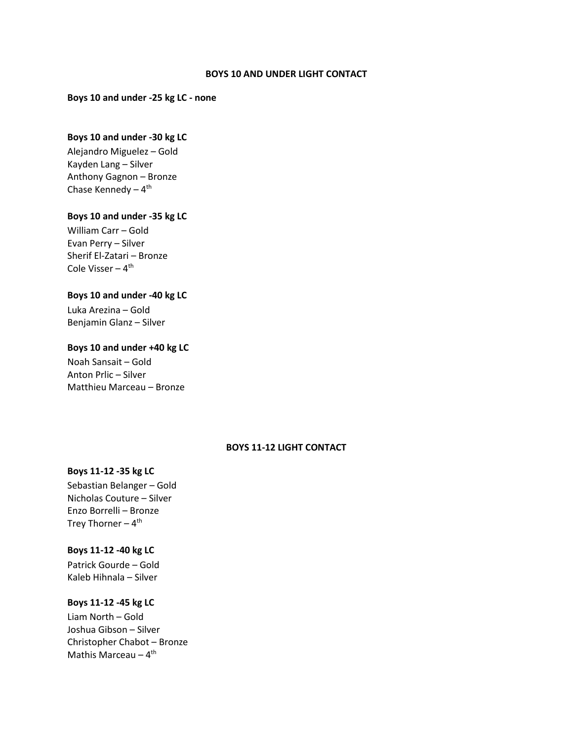#### **BOYS 10 AND UNDER LIGHT CONTACT**

**Boys 10 and under -25 kg LC - none**

# **Boys 10 and under -30 kg LC**

Alejandro Miguelez – Gold Kayden Lang – Silver Anthony Gagnon – Bronze Chase Kennedy – 4<sup>th</sup>

# **Boys 10 and under -35 kg LC**

William Carr – Gold Evan Perry – Silver Sherif El-Zatari – Bronze Cole Visser – 4<sup>th</sup>

# **Boys 10 and under -40 kg LC**

Luka Arezina – Gold Benjamin Glanz – Silver

### **Boys 10 and under +40 kg LC**

Noah Sansait – Gold Anton Prlic – Silver Matthieu Marceau – Bronze

# **BOYS 11-12 LIGHT CONTACT**

## **Boys 11-12 -35 kg LC**

Sebastian Belanger – Gold Nicholas Couture – Silver Enzo Borrelli – Bronze Trey Thorner – 4<sup>th</sup>

#### **Boys 11-12 -40 kg LC**

Patrick Gourde – Gold Kaleb Hihnala – Silver

# **Boys 11-12 -45 kg LC**

Liam North – Gold Joshua Gibson – Silver Christopher Chabot – Bronze Mathis Marceau – 4<sup>th</sup>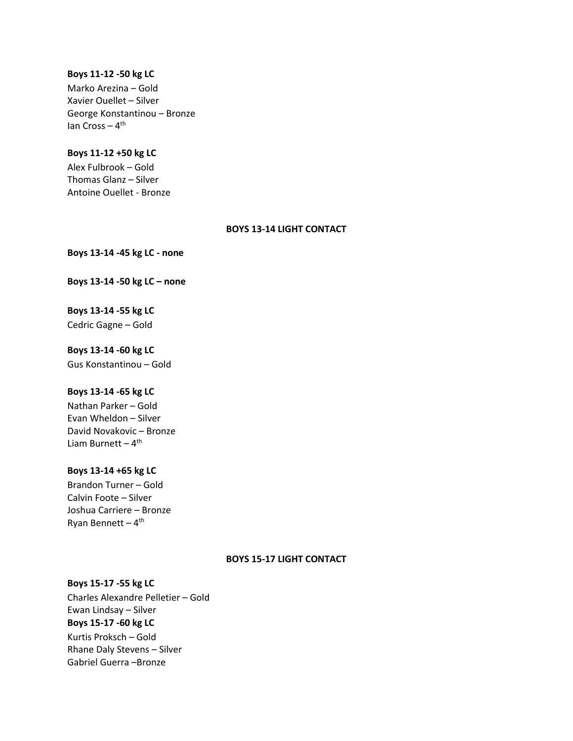#### **Boys 11-12 -50 kg LC**

Marko Arezina – Gold Xavier Ouellet – Silver George Konstantinou – Bronze lan Cross – 4<sup>th</sup>

# **Boys 11-12 +50 kg LC**

Alex Fulbrook – Gold Thomas Glanz – Silver Antoine Ouellet - Bronze

# **BOYS 13-14 LIGHT CONTACT**

**Boys 13-14 -45 kg LC - none**

**Boys 13-14 -50 kg LC – none**

**Boys 13-14 -55 kg LC** Cedric Gagne – Gold

**Boys 13-14 -60 kg LC** Gus Konstantinou – Gold

# **Boys 13-14 -65 kg LC**

Nathan Parker – Gold Evan Wheldon – Silver David Novakovic – Bronze Liam Burnett – 4<sup>th</sup>

# **Boys 13-14 +65 kg LC**

Brandon Turner – Gold Calvin Foote – Silver Joshua Carriere – Bronze Ryan Bennett – 4<sup>th</sup>

### **BOYS 15-17 LIGHT CONTACT**

### **Boys 15-17 -55 kg LC**

Charles Alexandre Pelletier – Gold Ewan Lindsay – Silver **Boys 15-17 -60 kg LC** Kurtis Proksch – Gold Rhane Daly Stevens – Silver Gabriel Guerra –Bronze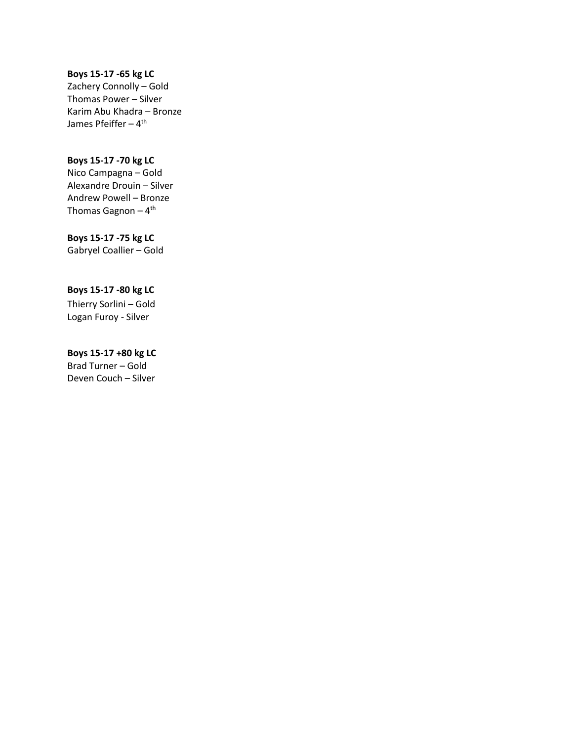# **Boys 15-17 -65 kg LC**

Zachery Connolly – Gold Thomas Power – Silver Karim Abu Khadra – Bronze James Pfeiffer – 4<sup>th</sup>

# **Boys 15-17 -70 kg LC**

Nico Campagna – Gold Alexandre Drouin – Silver Andrew Powell – Bronze Thomas Gagnon – 4<sup>th</sup>

# **Boys 15-17 -75 kg LC**

Gabryel Coallier – Gold

# **Boys 15-17 -80 kg LC**

Thierry Sorlini – Gold Logan Furoy - Silver

# **Boys 15-17 +80 kg LC**

Brad Turner – Gold Deven Couch – Silver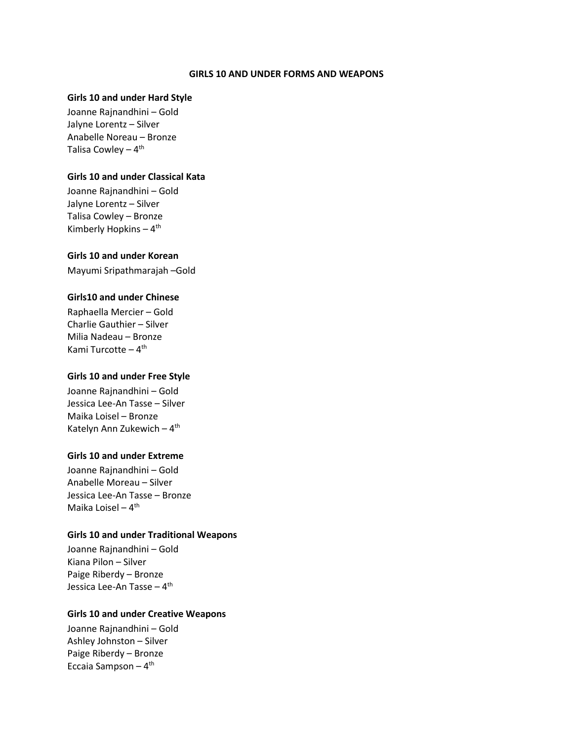#### **GIRLS 10 AND UNDER FORMS AND WEAPONS**

## **Girls 10 and under Hard Style**

Joanne Rajnandhini – Gold Jalyne Lorentz – Silver Anabelle Noreau – Bronze Talisa Cowley – 4<sup>th</sup>

#### **Girls 10 and under Classical Kata**

Joanne Rajnandhini – Gold Jalyne Lorentz – Silver Talisa Cowley – Bronze Kimberly Hopkins – 4<sup>th</sup>

### **Girls 10 and under Korean**

Mayumi Sripathmarajah –Gold

### **Girls10 and under Chinese**

Raphaella Mercier – Gold Charlie Gauthier – Silver Milia Nadeau – Bronze Kami Turcotte – 4<sup>th</sup>

# **Girls 10 and under Free Style**

Joanne Rajnandhini – Gold Jessica Lee-An Tasse – Silver Maika Loisel – Bronze Katelyn Ann Zukewich – 4<sup>th</sup>

### **Girls 10 and under Extreme**

Joanne Rajnandhini – Gold Anabelle Moreau – Silver Jessica Lee-An Tasse – Bronze Maika Loisel – 4<sup>th</sup>

# **Girls 10 and under Traditional Weapons**

Joanne Rajnandhini – Gold Kiana Pilon – Silver Paige Riberdy – Bronze Jessica Lee-An Tasse – 4<sup>th</sup>

#### **Girls 10 and under Creative Weapons**

Joanne Rajnandhini – Gold Ashley Johnston – Silver Paige Riberdy – Bronze Eccaia Sampson – 4<sup>th</sup>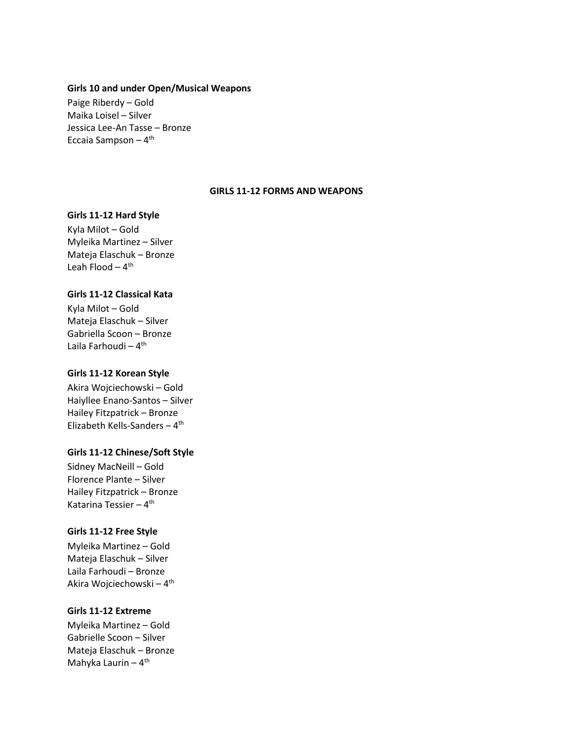#### **Girls 10 and under Open/Musical Weapons**

Paige Riberdy – Gold Maika Loisel – Silver Jessica Lee-An Tasse – Bronze Eccaia Sampson – 4<sup>th</sup>

# **GIRLS 11-12 FORMS AND WEAPONS**

#### **Girls 11-12 Hard Style**

Kyla Milot – Gold Myleika Martinez – Silver Mateja Elaschuk – Bronze Leah Flood – 4<sup>th</sup>

# **Girls 11-12 Classical Kata**

Kyla Milot – Gold Mateja Elaschuk – Silver Gabriella Scoon – Bronze Laila Farhoudi – 4<sup>th</sup>

#### **Girls 11-12 Korean Style**

Akira Wojciechowski – Gold Haiyllee Enano-Santos – Silver Hailey Fitzpatrick – Bronze Elizabeth Kells-Sanders - 4<sup>th</sup>

# **Girls 11-12 Chinese/Soft Style**

Sidney MacNeill – Gold Florence Plante – Silver Hailey Fitzpatrick – Bronze Katarina Tessier – 4<sup>th</sup>

### **Girls 11-12 Free Style**

Myleika Martinez – Gold Mateja Elaschuk – Silver Laila Farhoudi – Bronze Akira Wojciechowski – 4<sup>th</sup>

# **Girls 11-12 Extreme**

Myleika Martinez – Gold Gabrielle Scoon – Silver Mateja Elaschuk – Bronze Mahyka Laurin – 4<sup>th</sup>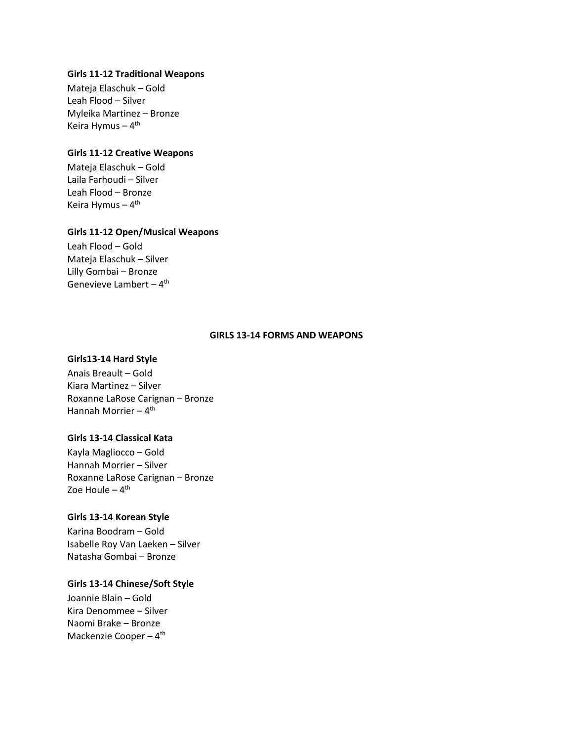# **Girls 11-12 Traditional Weapons**

Mateja Elaschuk – Gold Leah Flood – Silver Myleika Martinez – Bronze Keira Hymus – 4<sup>th</sup>

# **Girls 11-12 Creative Weapons**

Mateja Elaschuk – Gold Laila Farhoudi – Silver Leah Flood – Bronze Keira Hymus – 4<sup>th</sup>

### **Girls 11-12 Open/Musical Weapons**

Leah Flood – Gold Mateja Elaschuk – Silver Lilly Gombai – Bronze Genevieve Lambert – 4<sup>th</sup>

# **GIRLS 13-14 FORMS AND WEAPONS**

#### **Girls13-14 Hard Style**

Anais Breault – Gold Kiara Martinez – Silver Roxanne LaRose Carignan – Bronze Hannah Morrier – 4<sup>th</sup>

# **Girls 13-14 Classical Kata**

Kayla Magliocco – Gold Hannah Morrier – Silver Roxanne LaRose Carignan – Bronze Zoe Houle <mark>–</mark> 4<sup>th</sup>

## **Girls 13-14 Korean Style**

Karina Boodram – Gold Isabelle Roy Van Laeken – Silver Natasha Gombai – Bronze

# **Girls 13-14 Chinese/Soft Style**

Joannie Blain – Gold Kira Denommee – Silver Naomi Brake – Bronze Mackenzie Cooper – 4<sup>th</sup>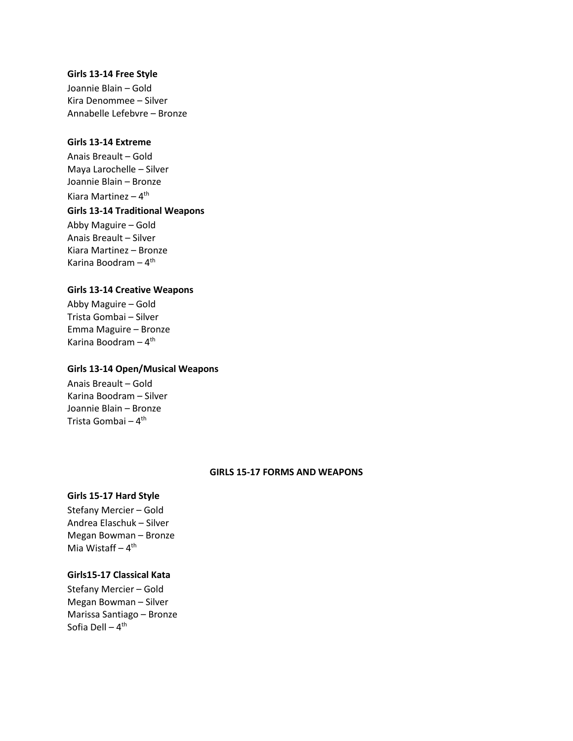#### **Girls 13-14 Free Style**

Joannie Blain – Gold Kira Denommee – Silver Annabelle Lefebvre – Bronze

## **Girls 13-14 Extreme**

Anais Breault – Gold Maya Larochelle – Silver Joannie Blain – Bronze Kiara Martinez – 4<sup>th</sup>

# **Girls 13-14 Traditional Weapons**

Abby Maguire – Gold Anais Breault – Silver Kiara Martinez – Bronze Karina Boodram – 4<sup>th</sup>

#### **Girls 13-14 Creative Weapons**

Abby Maguire – Gold Trista Gombai – Silver Emma Maguire – Bronze Karina Boodram – 4<sup>th</sup>

#### **Girls 13-14 Open/Musical Weapons**

Anais Breault – Gold Karina Boodram – Silver Joannie Blain – Bronze Trista Gombai <mark>–</mark> 4<sup>th</sup>

#### **GIRLS 15-17 FORMS AND WEAPONS**

# **Girls 15-17 Hard Style**

Stefany Mercier – Gold Andrea Elaschuk – Silver Megan Bowman – Bronze Mia Wistaff – 4<sup>th</sup>

# **Girls15-17 Classical Kata**

Stefany Mercier – Gold Megan Bowman – Silver Marissa Santiago – Bronze Sofia Dell <mark>–</mark> 4<sup>th</sup>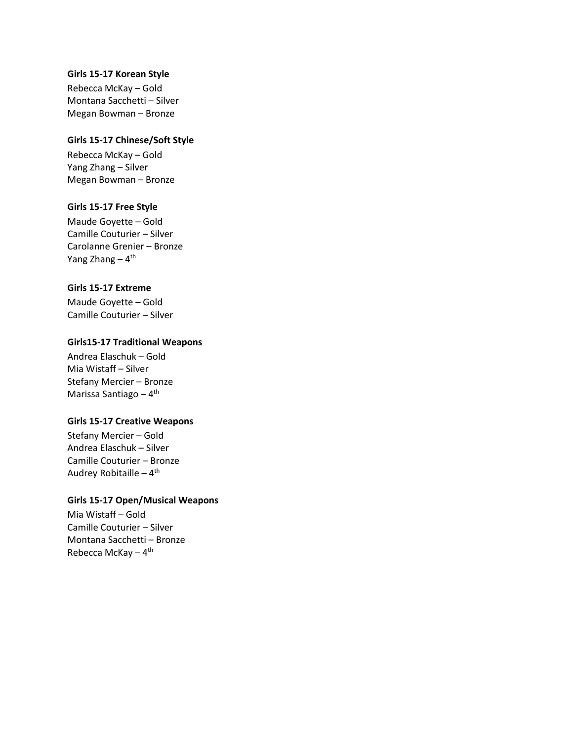### **Girls 15-17 Korean Style**

Rebecca McKay – Gold Montana Sacchetti – Silver Megan Bowman – Bronze

# **Girls 15-17 Chinese/Soft Style**

Rebecca McKay – Gold Yang Zhang – Silver Megan Bowman – Bronze

# **Girls 15-17 Free Style**

Maude Goyette – Gold Camille Couturier – Silver Carolanne Grenier – Bronze Yang Zhang – 4<sup>th</sup>

# **Girls 15-17 Extreme**

Maude Goyette – Gold Camille Couturier – Silver

### **Girls15-17 Traditional Weapons**

Andrea Elaschuk – Gold Mia Wistaff – Silver Stefany Mercier – Bronze Marissa Santiago – 4<sup>th</sup>

### **Girls 15-17 Creative Weapons**

Stefany Mercier – Gold Andrea Elaschuk – Silver Camille Couturier – Bronze Audrey Robitaille – 4<sup>th</sup>

# **Girls 15-17 Open/Musical Weapons**

Mia Wistaff – Gold Camille Couturier – Silver Montana Sacchetti – Bronze Rebecca McKay – 4<sup>th</sup>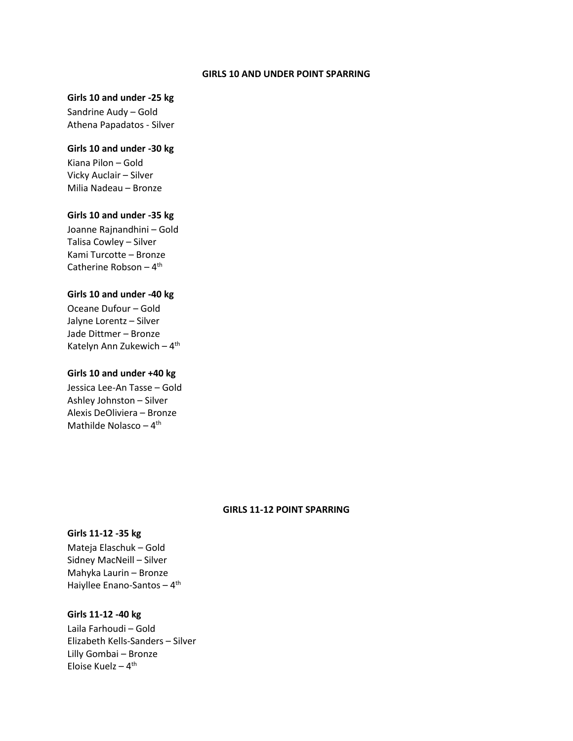#### **GIRLS 10 AND UNDER POINT SPARRING**

# **Girls 10 and under -25 kg**

Sandrine Audy – Gold Athena Papadatos - Silver

#### **Girls 10 and under -30 kg**

Kiana Pilon – Gold Vicky Auclair – Silver Milia Nadeau – Bronze

# **Girls 10 and under -35 kg**

Joanne Rajnandhini – Gold Talisa Cowley – Silver Kami Turcotte – Bronze Catherine Robson – 4<sup>th</sup>

# **Girls 10 and under -40 kg**

Oceane Dufour – Gold Jalyne Lorentz – Silver Jade Dittmer – Bronze Katelyn Ann Zukewich - 4<sup>th</sup>

#### **Girls 10 and under +40 kg**

Jessica Lee-An Tasse – Gold Ashley Johnston – Silver Alexis DeOliviera – Bronze Mathilde Nolasco – 4<sup>th</sup>

# **GIRLS 11-12 POINT SPARRING**

# **Girls 11-12 -35 kg**

Mateja Elaschuk – Gold Sidney MacNeill – Silver Mahyka Laurin – Bronze Haiyllee Enano-Santos – 4<sup>th</sup>

#### **Girls 11-12 -40 kg**

Laila Farhoudi – Gold Elizabeth Kells-Sanders – Silver Lilly Gombai – Bronze Eloise Kuelz – 4<sup>th</sup>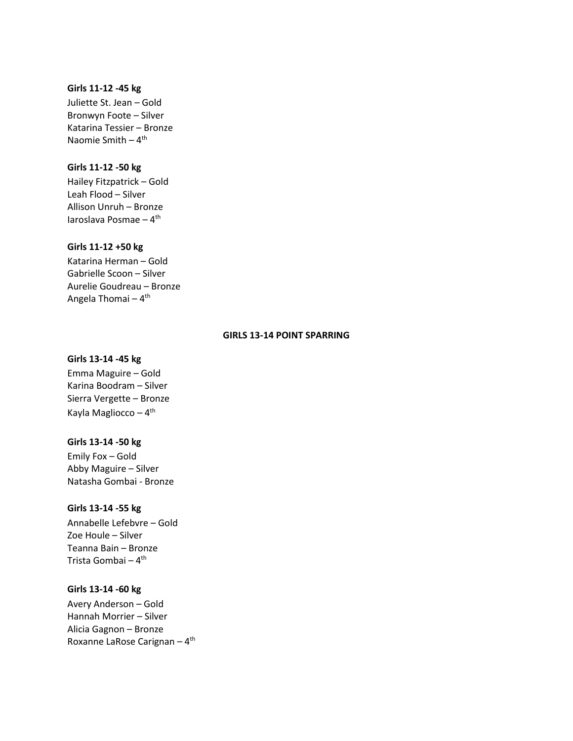#### **Girls 11-12 -45 kg**

Juliette St. Jean – Gold Bronwyn Foote – Silver Katarina Tessier – Bronze Naomie Smith – 4<sup>th</sup>

### **Girls 11-12 -50 kg**

Hailey Fitzpatrick – Gold Leah Flood – Silver Allison Unruh – Bronze Iaroslava Posmae – 4<sup>th</sup>

# **Girls 11-12 +50 kg**

Katarina Herman – Gold Gabrielle Scoon – Silver Aurelie Goudreau – Bronze Angela Thomai – 4<sup>th</sup>

# **GIRLS 13-14 POINT SPARRING**

#### **Girls 13-14 -45 kg**

Emma Maguire – Gold Karina Boodram – Silver Sierra Vergette – Bronze Kayla Magliocco – 4<sup>th</sup>

#### **Girls 13-14 -50 kg**

Emily Fox – Gold Abby Maguire – Silver Natasha Gombai - Bronze

#### **Girls 13-14 -55 kg**

Annabelle Lefebvre – Gold Zoe Houle – Silver Teanna Bain – Bronze Trista Gombai <mark>–</mark> 4<sup>th</sup>

# **Girls 13-14 -60 kg**

Avery Anderson – Gold Hannah Morrier – Silver Alicia Gagnon – Bronze Roxanne LaRose Carignan – 4<sup>th</sup>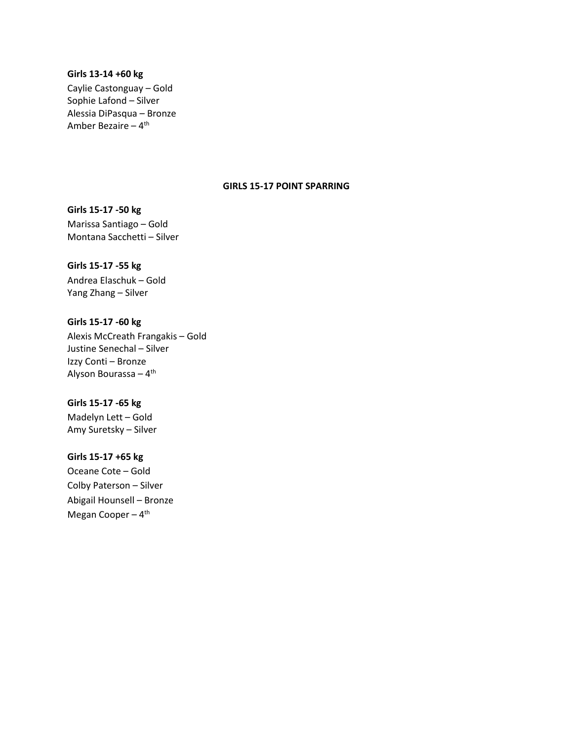#### **Girls 13-14 +60 kg**

Caylie Castonguay – Gold Sophie Lafond – Silver Alessia DiPasqua – Bronze Amber Bezaire – 4<sup>th</sup>

# **GIRLS 15-17 POINT SPARRING**

**Girls 15-17 -50 kg**  Marissa Santiago – Gold Montana Sacchetti – Silver

# **Girls 15-17 -55 kg**

Andrea Elaschuk – Gold Yang Zhang – Silver

# **Girls 15-17 -60 kg**

Alexis McCreath Frangakis – Gold Justine Senechal – Silver Izzy Conti – Bronze Alyson Bourassa – 4<sup>th</sup>

# **Girls 15-17 -65 kg**

Madelyn Lett – Gold Amy Suretsky – Silver

### **Girls 15-17 +65 kg**

Oceane Cote – Gold Colby Paterson – Silver Abigail Hounsell – Bronze Megan Cooper - 4<sup>th</sup>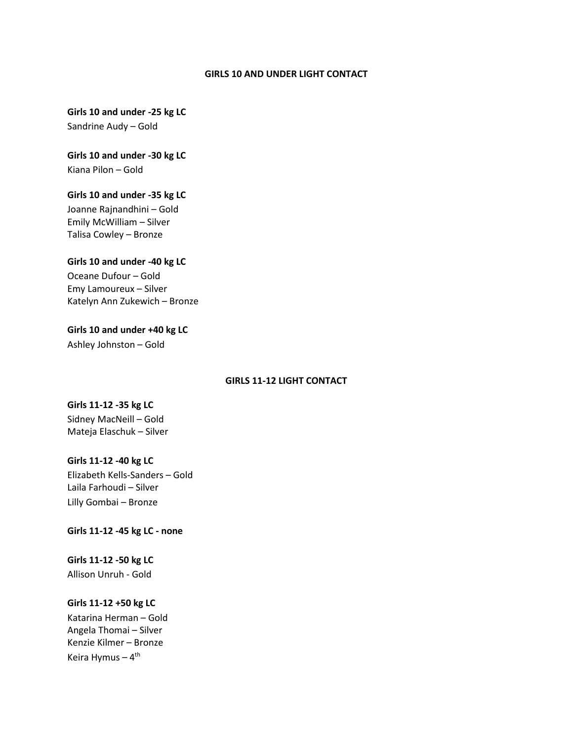#### **GIRLS 10 AND UNDER LIGHT CONTACT**

**Girls 10 and under -25 kg LC** Sandrine Audy – Gold

**Girls 10 and under -30 kg LC** Kiana Pilon – Gold

# **Girls 10 and under -35 kg LC** Joanne Rajnandhini – Gold Emily McWilliam – Silver Talisa Cowley – Bronze

**Girls 10 and under -40 kg LC** Oceane Dufour – Gold Emy Lamoureux – Silver Katelyn Ann Zukewich – Bronze

**Girls 10 and under +40 kg LC** Ashley Johnston – Gold

# **GIRLS 11-12 LIGHT CONTACT**

**Girls 11-12 -35 kg LC** Sidney MacNeill – Gold Mateja Elaschuk – Silver

# **Girls 11-12 -40 kg LC** Elizabeth Kells-Sanders – Gold Laila Farhoudi – Silver Lilly Gombai – Bronze

**Girls 11-12 -45 kg LC - none**

**Girls 11-12 -50 kg LC** Allison Unruh - Gold

### **Girls 11-12 +50 kg LC**

Katarina Herman – Gold Angela Thomai – Silver Kenzie Kilmer – Bronze Keira Hymus – 4<sup>th</sup>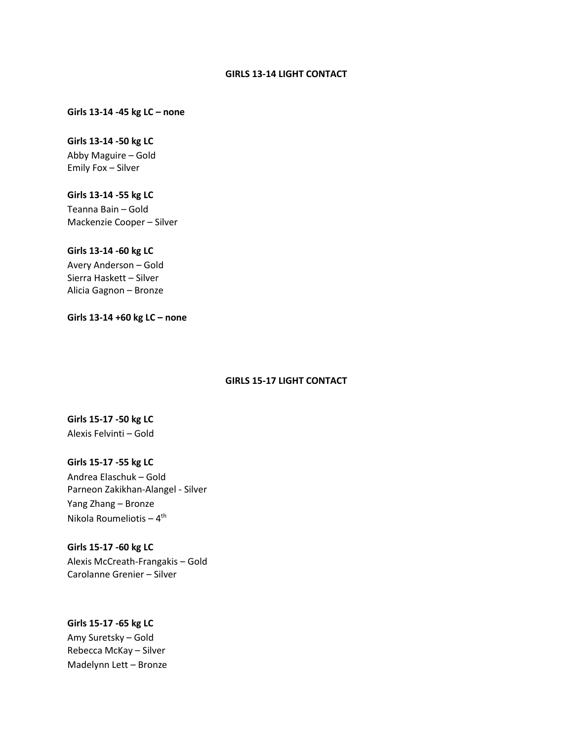#### **GIRLS 13-14 LIGHT CONTACT**

# **Girls 13-14 -45 kg LC – none**

#### **Girls 13-14 -50 kg LC**

Abby Maguire – Gold Emily Fox – Silver

# **Girls 13-14 -55 kg LC**

Teanna Bain – Gold Mackenzie Cooper – Silver

#### **Girls 13-14 -60 kg LC**

Avery Anderson – Gold Sierra Haskett – Silver Alicia Gagnon – Bronze

**Girls 13-14 +60 kg LC – none** 

# **GIRLS 15-17 LIGHT CONTACT**

# **Girls 15-17 -50 kg LC** Alexis Felvinti – Gold

# **Girls 15-17 -55 kg LC** Andrea Elaschuk – Gold Parneon Zakikhan-Alangel - Silver Yang Zhang – Bronze Nikola Roumeliotis – 4<sup>th</sup>

# **Girls 15-17 -60 kg LC** Alexis McCreath-Frangakis – Gold Carolanne Grenier – Silver

# **Girls 15-17 -65 kg LC** Amy Suretsky – Gold Rebecca McKay – Silver Madelynn Lett – Bronze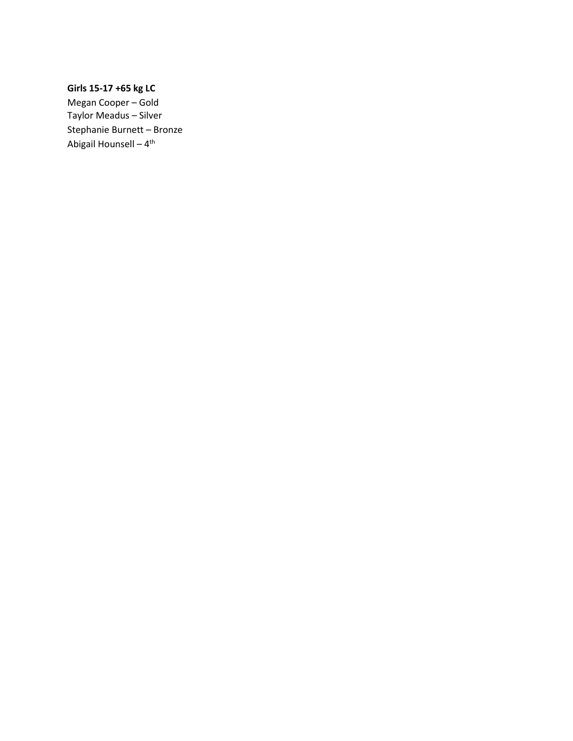# **Girls 15-17 +65 kg LC**

Megan Cooper – Gold Taylor Meadus – Silver Stephanie Burnett – Bronze Abigail Hounsell – 4<sup>th</sup>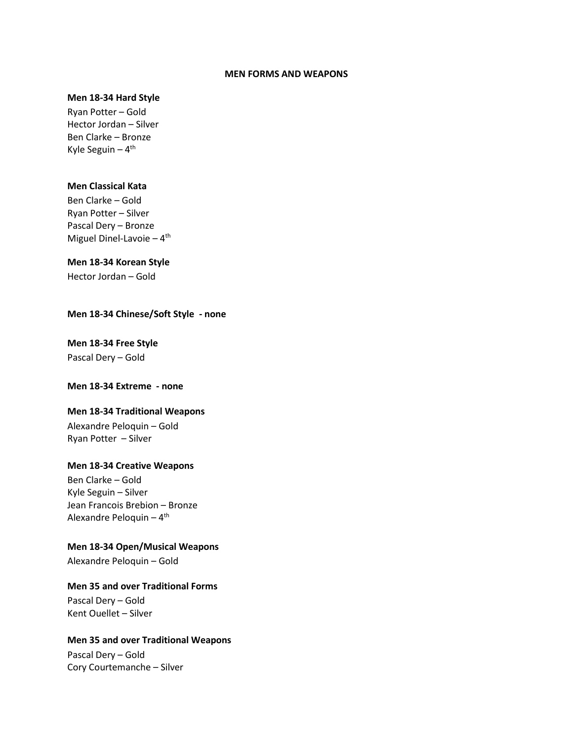#### **MEN FORMS AND WEAPONS**

#### **Men 18-34 Hard Style**

Ryan Potter – Gold Hector Jordan – Silver Ben Clarke – Bronze Kyle Seguin – 4<sup>th</sup>

### **Men Classical Kata**

Ben Clarke – Gold Ryan Potter – Silver Pascal Dery – Bronze Miguel Dinel-Lavoie - 4<sup>th</sup>

#### **Men 18-34 Korean Style**

Hector Jordan – Gold

# **Men 18-34 Chinese/Soft Style - none**

# **Men 18-34 Free Style**  Pascal Dery – Gold

# **Men 18-34 Extreme - none**

# **Men 18-34 Traditional Weapons**

Alexandre Peloquin – Gold Ryan Potter – Silver

### **Men 18-34 Creative Weapons**

Ben Clarke – Gold Kyle Seguin – Silver Jean Francois Brebion – Bronze Alexandre Peloquin – 4<sup>th</sup>

**Men 18-34 Open/Musical Weapons** 

Alexandre Peloquin – Gold

# **Men 35 and over Traditional Forms**

Pascal Dery – Gold Kent Ouellet – Silver

# **Men 35 and over Traditional Weapons**

Pascal Dery – Gold Cory Courtemanche – Silver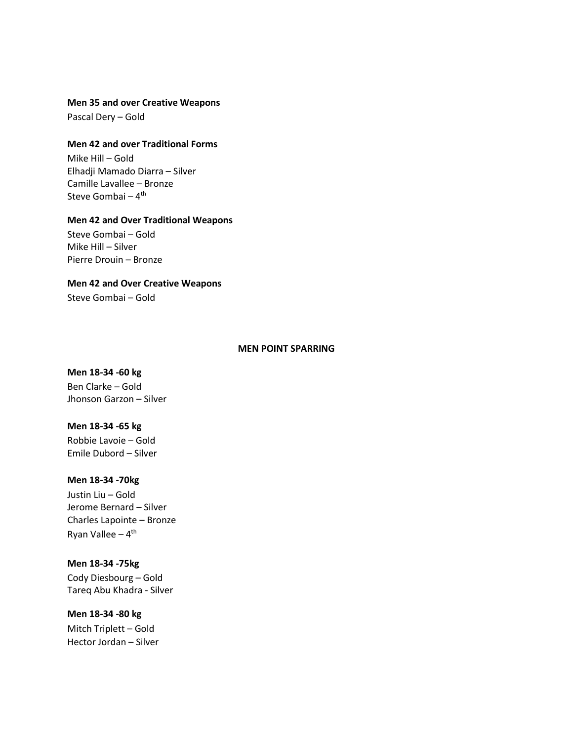#### **Men 35 and over Creative Weapons**

Pascal Dery – Gold

# **Men 42 and over Traditional Forms**

Mike Hill – Gold Elhadji Mamado Diarra – Silver Camille Lavallee – Bronze Steve Gombai <mark>–</mark> 4<sup>th</sup>

#### **Men 42 and Over Traditional Weapons**

Steve Gombai – Gold Mike Hill – Silver Pierre Drouin – Bronze

# **Men 42 and Over Creative Weapons**

Steve Gombai – Gold

#### **MEN POINT SPARRING**

# **Men 18-34 -60 kg**  Ben Clarke – Gold Jhonson Garzon – Silver

#### **Men 18-34 -65 kg**

Robbie Lavoie – Gold Emile Dubord – Silver

### **Men 18-34 -70kg**

Justin Liu – Gold Jerome Bernard – Silver Charles Lapointe – Bronze Ryan Vallee – 4<sup>th</sup>

# **Men 18-34 -75kg**

Cody Diesbourg – Gold Tareq Abu Khadra - Silver

# **Men 18-34 -80 kg**

Mitch Triplett – Gold Hector Jordan – Silver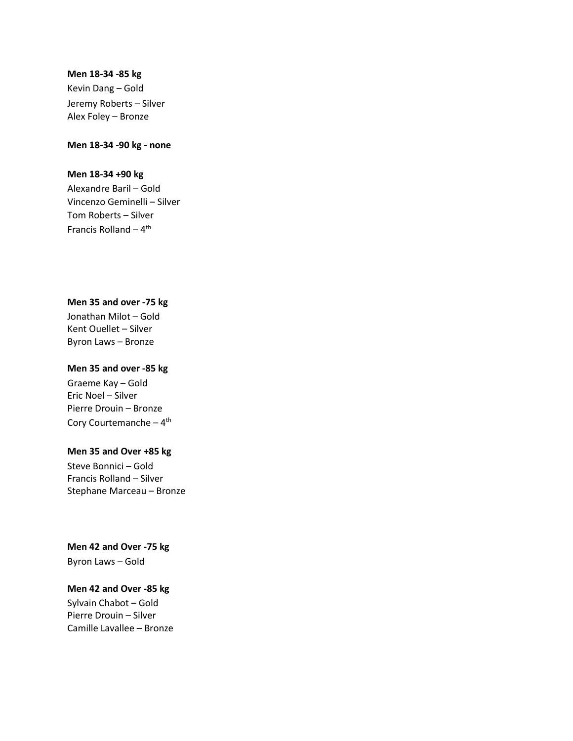#### **Men 18-34 -85 kg**

Kevin Dang – Gold Jeremy Roberts – Silver Alex Foley – Bronze

### **Men 18-34 -90 kg - none**

#### **Men 18-34 +90 kg**

Alexandre Baril – Gold Vincenzo Geminelli – Silver Tom Roberts – Silver Francis Rolland – 4<sup>th</sup>

# **Men 35 and over -75 kg**

Jonathan Milot – Gold Kent Ouellet – Silver Byron Laws – Bronze

### **Men 35 and over -85 kg**

Graeme Kay – Gold Eric Noel – Silver Pierre Drouin – Bronze Cory Courtemanche – 4<sup>th</sup>

# **Men 35 and Over +85 kg**

Steve Bonnici – Gold Francis Rolland – Silver Stephane Marceau – Bronze

# **Men 42 and Over -75 kg**  Byron Laws – Gold

# **Men 42 and Over -85 kg**

Sylvain Chabot – Gold Pierre Drouin – Silver Camille Lavallee – Bronze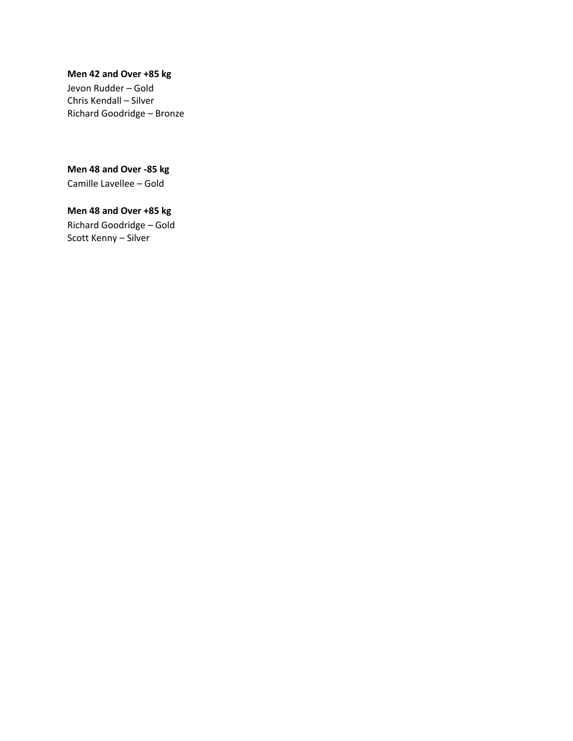# **Men 42 and Over +85 kg**

Jevon Rudder – Gold Chris Kendall – Silver Richard Goodridge – Bronze

**Men 48 and Over -85 kg**  Camille Lavellee – Gold

**Men 48 and Over +85 kg**  Richard Goodridge – Gold Scott Kenny – Silver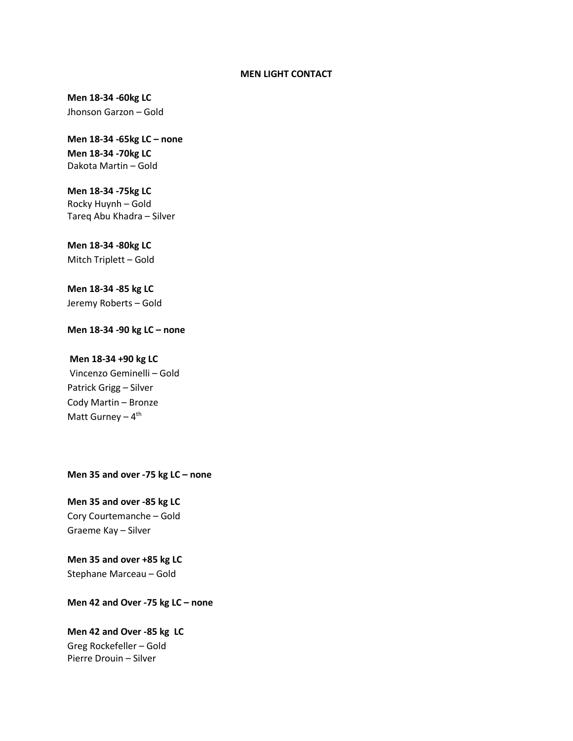#### **MEN LIGHT CONTACT**

**Men 18-34 -60kg LC**  Jhonson Garzon – Gold

**Men 18-34 -65kg LC – none Men 18-34 -70kg LC** Dakota Martin – Gold

**Men 18-34 -75kg LC** Rocky Huynh – Gold Tareq Abu Khadra – Silver

**Men 18-34 -80kg LC** Mitch Triplett – Gold

**Men 18-34 -85 kg LC**  Jeremy Roberts – Gold

**Men 18-34 -90 kg LC – none** 

#### **Men 18-34 +90 kg LC**

Vincenzo Geminelli – Gold Patrick Grigg – Silver Cody Martin – Bronze Matt Gurney – 4<sup>th</sup>

**Men 35 and over -75 kg LC – none** 

**Men 35 and over -85 kg LC**  Cory Courtemanche – Gold Graeme Kay – Silver

**Men 35 and over +85 kg LC**  Stephane Marceau – Gold

**Men 42 and Over -75 kg LC – none** 

**Men 42 and Over -85 kg LC** Greg Rockefeller – Gold Pierre Drouin – Silver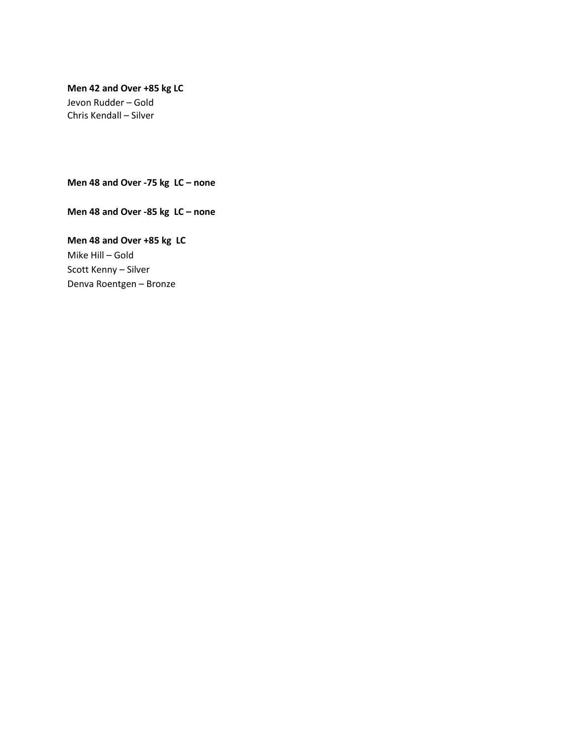# **Men 42 and Over +85 kg LC**

Jevon Rudder – Gold Chris Kendall – Silver

**Men 48 and Over -75 kg LC – none** 

**Men 48 and Over -85 kg LC – none** 

**Men 48 and Over +85 kg LC** Mike Hill – Gold Scott Kenny – Silver Denva Roentgen – Bronze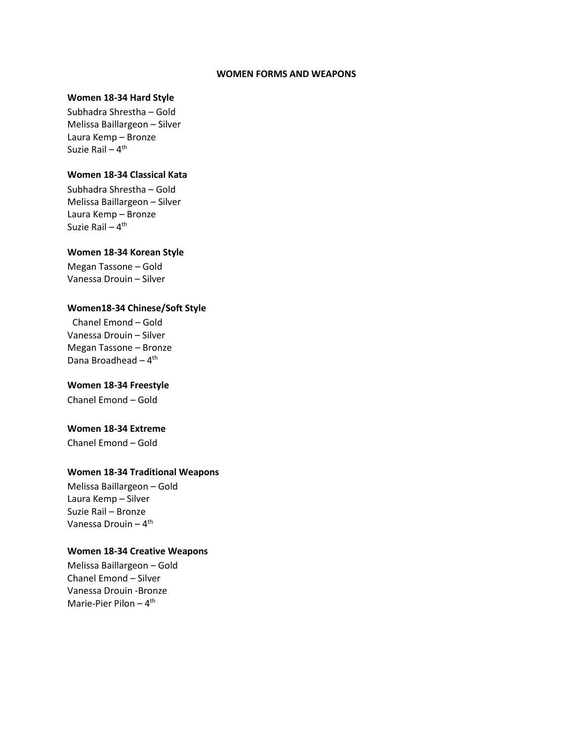#### **WOMEN FORMS AND WEAPONS**

### **Women 18-34 Hard Style**

Subhadra Shrestha – Gold Melissa Baillargeon – Silver Laura Kemp – Bronze Suzie Rail – 4<sup>th</sup>

# **Women 18-34 Classical Kata**

Subhadra Shrestha – Gold Melissa Baillargeon – Silver Laura Kemp – Bronze Suzie Rail – 4<sup>th</sup>

### **Women 18-34 Korean Style**

Megan Tassone – Gold Vanessa Drouin – Silver

# **Women18-34 Chinese/Soft Style**

Chanel Emond – Gold Vanessa Drouin – Silver Megan Tassone – Bronze Dana Broadhead – 4<sup>th</sup>

# **Women 18-34 Freestyle**

Chanel Emond – Gold

# **Women 18-34 Extreme**

Chanel Emond – Gold

### **Women 18-34 Traditional Weapons**

Melissa Baillargeon – Gold Laura Kemp – Silver Suzie Rail – Bronze Vanessa Drouin – 4<sup>th</sup>

#### **Women 18-34 Creative Weapons**

Melissa Baillargeon – Gold Chanel Emond – Silver Vanessa Drouin -Bronze Marie-Pier Pilon – 4<sup>th</sup>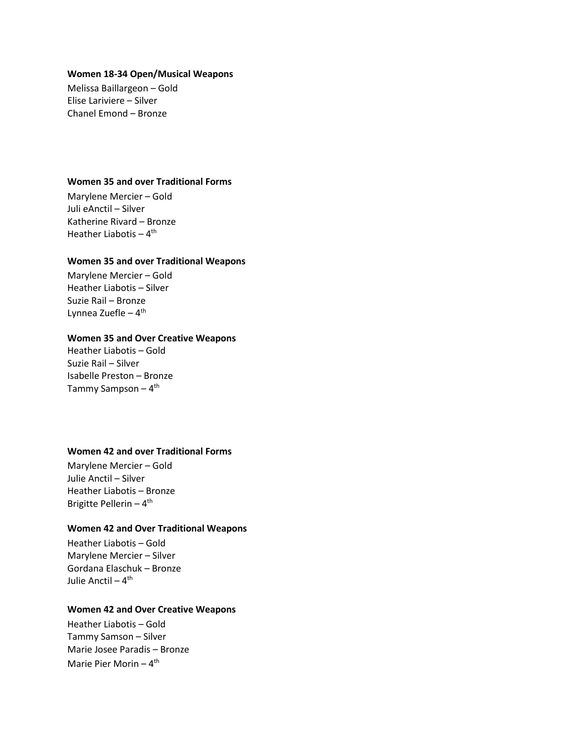#### **Women 18-34 Open/Musical Weapons**

Melissa Baillargeon – Gold Elise Lariviere – Silver Chanel Emond – Bronze

# **Women 35 and over Traditional Forms**

Marylene Mercier – Gold Juli eAnctil – Silver Katherine Rivard – Bronze Heather Liabotis – 4<sup>th</sup>

#### **Women 35 and over Traditional Weapons**

Marylene Mercier – Gold Heather Liabotis – Silver Suzie Rail – Bronze Lynnea Zuefle – 4<sup>th</sup>

### **Women 35 and Over Creative Weapons**

Heather Liabotis – Gold Suzie Rail – Silver Isabelle Preston – Bronze Tammy Sampson – 4<sup>th</sup>

### **Women 42 and over Traditional Forms**

Marylene Mercier – Gold Julie Anctil – Silver Heather Liabotis – Bronze Brigitte Pellerin – 4<sup>th</sup>

# **Women 42 and Over Traditional Weapons**

Heather Liabotis – Gold Marylene Mercier – Silver Gordana Elaschuk – Bronze Julie Anctil <mark>–</mark> 4<sup>th</sup>

#### **Women 42 and Over Creative Weapons**

Heather Liabotis – Gold Tammy Samson – Silver Marie Josee Paradis – Bronze Marie Pier Morin – 4<sup>th</sup>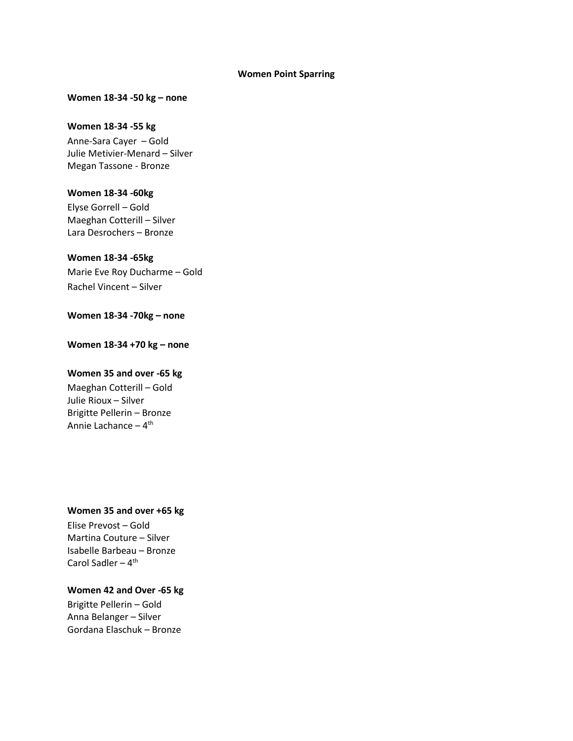#### **Women Point Sparring**

### **Women 18-34 -50 kg – none**

#### **Women 18-34 -55 kg**

Anne-Sara Cayer – Gold Julie Metivier-Menard – Silver Megan Tassone - Bronze

### **Women 18-34 -60kg**

Elyse Gorrell – Gold Maeghan Cotterill – Silver Lara Desrochers – Bronze

# **Women 18-34 -65kg**

Marie Eve Roy Ducharme – Gold Rachel Vincent – Silver

# **Women 18-34 -70kg – none**

**Women 18-34 +70 kg – none** 

### **Women 35 and over -65 kg**

Maeghan Cotterill – Gold Julie Rioux – Silver Brigitte Pellerin – Bronze Annie Lachance – 4<sup>th</sup>

### **Women 35 and over +65 kg**

Elise Prevost – Gold Martina Couture – Silver Isabelle Barbeau – Bronze Carol Sadler – 4<sup>th</sup>

# **Women 42 and Over -65 kg**

Brigitte Pellerin – Gold Anna Belanger – Silver Gordana Elaschuk – Bronze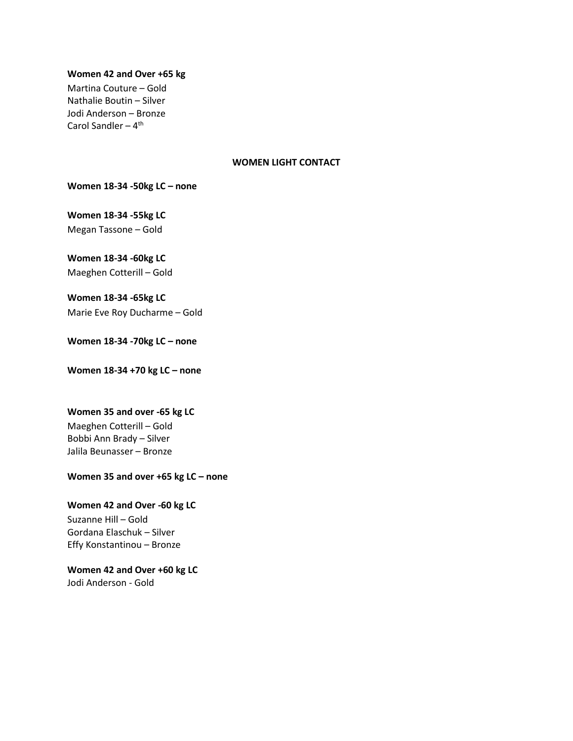## **Women 42 and Over +65 kg**

Martina Couture – Gold Nathalie Boutin – Silver Jodi Anderson – Bronze Carol Sandler – 4<sup>th</sup>

# **WOMEN LIGHT CONTACT**

**Women 18-34 -50kg LC – none** 

**Women 18-34 -55kg LC** Megan Tassone – Gold

**Women 18-34 -60kg LC**

Maeghen Cotterill – Gold

**Women 18-34 -65kg LC**

Marie Eve Roy Ducharme – Gold

**Women 18-34 -70kg LC – none** 

**Women 18-34 +70 kg LC – none** 

# **Women 35 and over -65 kg LC**

Maeghen Cotterill – Gold Bobbi Ann Brady – Silver Jalila Beunasser – Bronze

### **Women 35 and over +65 kg LC – none**

**Women 42 and Over -60 kg LC**  Suzanne Hill – Gold Gordana Elaschuk – Silver Effy Konstantinou – Bronze

**Women 42 and Over +60 kg LC**  Jodi Anderson - Gold